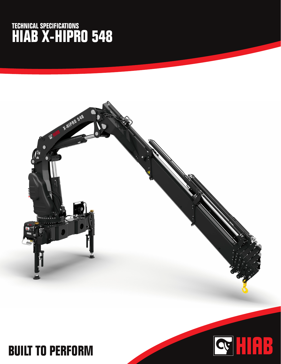## **TECHNICAL SPECIFICATIONS HIAB X-HIPRO 548**



## **BUILT TO PERFORM**